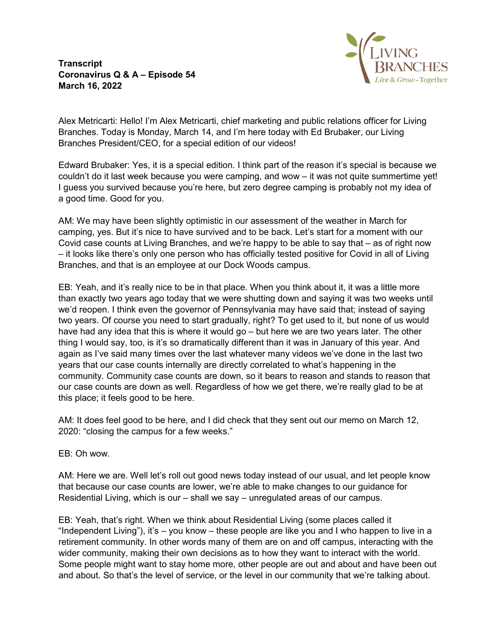**Transcript Coronavirus Q & A – Episode 54 March 16, 2022**



Alex Metricarti: Hello! I'm Alex Metricarti, chief marketing and public relations officer for Living Branches. Today is Monday, March 14, and I'm here today with Ed Brubaker, our Living Branches President/CEO, for a special edition of our videos!

Edward Brubaker: Yes, it is a special edition. I think part of the reason it's special is because we couldn't do it last week because you were camping, and wow – it was not quite summertime yet! I guess you survived because you're here, but zero degree camping is probably not my idea of a good time. Good for you.

AM: We may have been slightly optimistic in our assessment of the weather in March for camping, yes. But it's nice to have survived and to be back. Let's start for a moment with our Covid case counts at Living Branches, and we're happy to be able to say that – as of right now – it looks like there's only one person who has officially tested positive for Covid in all of Living Branches, and that is an employee at our Dock Woods campus.

EB: Yeah, and it's really nice to be in that place. When you think about it, it was a little more than exactly two years ago today that we were shutting down and saying it was two weeks until we'd reopen. I think even the governor of Pennsylvania may have said that; instead of saying two years. Of course you need to start gradually, right? To get used to it, but none of us would have had any idea that this is where it would go – but here we are two years later. The other thing I would say, too, is it's so dramatically different than it was in January of this year. And again as I've said many times over the last whatever many videos we've done in the last two years that our case counts internally are directly correlated to what's happening in the community. Community case counts are down, so it bears to reason and stands to reason that our case counts are down as well. Regardless of how we get there, we're really glad to be at this place; it feels good to be here.

AM: It does feel good to be here, and I did check that they sent out our memo on March 12, 2020: "closing the campus for a few weeks."

EB: Oh wow.

AM: Here we are. Well let's roll out good news today instead of our usual, and let people know that because our case counts are lower, we're able to make changes to our guidance for Residential Living, which is our – shall we say – unregulated areas of our campus.

EB: Yeah, that's right. When we think about Residential Living (some places called it "Independent Living"), it's – you know – these people are like you and I who happen to live in a retirement community. In other words many of them are on and off campus, interacting with the wider community, making their own decisions as to how they want to interact with the world. Some people might want to stay home more, other people are out and about and have been out and about. So that's the level of service, or the level in our community that we're talking about.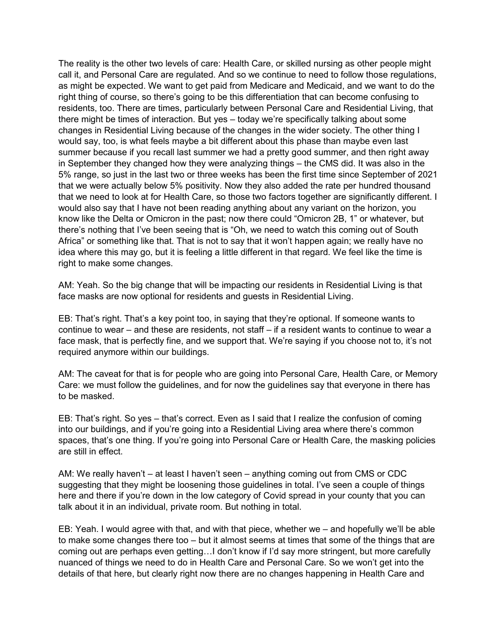The reality is the other two levels of care: Health Care, or skilled nursing as other people might call it, and Personal Care are regulated. And so we continue to need to follow those regulations, as might be expected. We want to get paid from Medicare and Medicaid, and we want to do the right thing of course, so there's going to be this differentiation that can become confusing to residents, too. There are times, particularly between Personal Care and Residential Living, that there might be times of interaction. But yes – today we're specifically talking about some changes in Residential Living because of the changes in the wider society. The other thing I would say, too, is what feels maybe a bit different about this phase than maybe even last summer because if you recall last summer we had a pretty good summer, and then right away in September they changed how they were analyzing things – the CMS did. It was also in the 5% range, so just in the last two or three weeks has been the first time since September of 2021 that we were actually below 5% positivity. Now they also added the rate per hundred thousand that we need to look at for Health Care, so those two factors together are significantly different. I would also say that I have not been reading anything about any variant on the horizon, you know like the Delta or Omicron in the past; now there could "Omicron 2B, 1" or whatever, but there's nothing that I've been seeing that is "Oh, we need to watch this coming out of South Africa" or something like that. That is not to say that it won't happen again; we really have no idea where this may go, but it is feeling a little different in that regard. We feel like the time is right to make some changes.

AM: Yeah. So the big change that will be impacting our residents in Residential Living is that face masks are now optional for residents and guests in Residential Living.

EB: That's right. That's a key point too, in saying that they're optional. If someone wants to continue to wear – and these are residents, not staff – if a resident wants to continue to wear a face mask, that is perfectly fine, and we support that. We're saying if you choose not to, it's not required anymore within our buildings.

AM: The caveat for that is for people who are going into Personal Care, Health Care, or Memory Care: we must follow the guidelines, and for now the guidelines say that everyone in there has to be masked.

EB: That's right. So yes – that's correct. Even as I said that I realize the confusion of coming into our buildings, and if you're going into a Residential Living area where there's common spaces, that's one thing. If you're going into Personal Care or Health Care, the masking policies are still in effect.

AM: We really haven't – at least I haven't seen – anything coming out from CMS or CDC suggesting that they might be loosening those guidelines in total. I've seen a couple of things here and there if you're down in the low category of Covid spread in your county that you can talk about it in an individual, private room. But nothing in total.

EB: Yeah. I would agree with that, and with that piece, whether we – and hopefully we'll be able to make some changes there too – but it almost seems at times that some of the things that are coming out are perhaps even getting…I don't know if I'd say more stringent, but more carefully nuanced of things we need to do in Health Care and Personal Care. So we won't get into the details of that here, but clearly right now there are no changes happening in Health Care and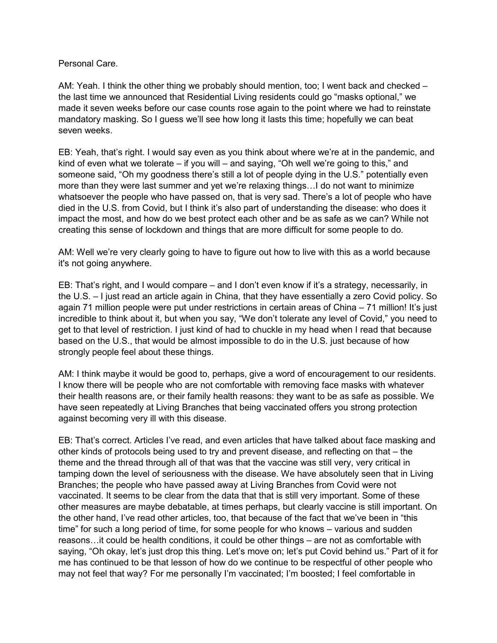Personal Care.

AM: Yeah. I think the other thing we probably should mention, too; I went back and checked – the last time we announced that Residential Living residents could go "masks optional," we made it seven weeks before our case counts rose again to the point where we had to reinstate mandatory masking. So I guess we'll see how long it lasts this time; hopefully we can beat seven weeks.

EB: Yeah, that's right. I would say even as you think about where we're at in the pandemic, and kind of even what we tolerate – if you will – and saying, "Oh well we're going to this," and someone said, "Oh my goodness there's still a lot of people dying in the U.S." potentially even more than they were last summer and yet we're relaxing things…I do not want to minimize whatsoever the people who have passed on, that is very sad. There's a lot of people who have died in the U.S. from Covid, but I think it's also part of understanding the disease: who does it impact the most, and how do we best protect each other and be as safe as we can? While not creating this sense of lockdown and things that are more difficult for some people to do.

AM: Well we're very clearly going to have to figure out how to live with this as a world because it's not going anywhere.

EB: That's right, and I would compare – and I don't even know if it's a strategy, necessarily, in the U.S. – I just read an article again in China, that they have essentially a zero Covid policy. So again 71 million people were put under restrictions in certain areas of China – 71 million! It's just incredible to think about it, but when you say, "We don't tolerate any level of Covid," you need to get to that level of restriction. I just kind of had to chuckle in my head when I read that because based on the U.S., that would be almost impossible to do in the U.S. just because of how strongly people feel about these things.

AM: I think maybe it would be good to, perhaps, give a word of encouragement to our residents. I know there will be people who are not comfortable with removing face masks with whatever their health reasons are, or their family health reasons: they want to be as safe as possible. We have seen repeatedly at Living Branches that being vaccinated offers you strong protection against becoming very ill with this disease.

EB: That's correct. Articles I've read, and even articles that have talked about face masking and other kinds of protocols being used to try and prevent disease, and reflecting on that – the theme and the thread through all of that was that the vaccine was still very, very critical in tamping down the level of seriousness with the disease. We have absolutely seen that in Living Branches; the people who have passed away at Living Branches from Covid were not vaccinated. It seems to be clear from the data that that is still very important. Some of these other measures are maybe debatable, at times perhaps, but clearly vaccine is still important. On the other hand, I've read other articles, too, that because of the fact that we've been in "this time" for such a long period of time, for some people for who knows – various and sudden reasons…it could be health conditions, it could be other things – are not as comfortable with saying, "Oh okay, let's just drop this thing. Let's move on; let's put Covid behind us." Part of it for me has continued to be that lesson of how do we continue to be respectful of other people who may not feel that way? For me personally I'm vaccinated; I'm boosted; I feel comfortable in